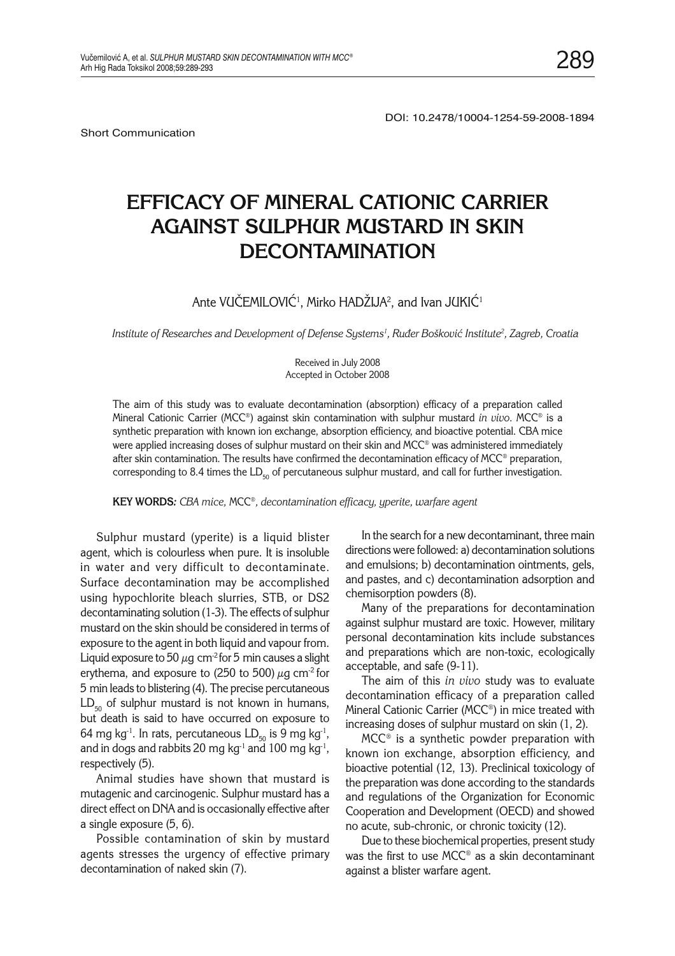Short Communication

# **EFFICACY OF MINERAL CATIONIC CARRIER AGAINST SULPHUR MUSTARD IN SKIN DECONTAMINATION**

## Ante VUCEMILOVIC<sup>1</sup>, Mirko HADZIJA<sup>2</sup>, and Ivan JUKIC<sup>1</sup>

Institute of Researches and Development of Defense Systems<sup>1</sup>, Ruđer Bošković Institute<sup>2</sup>, Zagreb, Croatia

Received in July 2008 Accepted in October 2008

The aim of this study was to evaluate decontamination (absorption) efficacy of a preparation called Mineral Cationic Carrier (MCC®) against skin contamination with sulphur mustard *in vivo.* MCC*®* is a synthetic preparation with known ion exchange, absorption efficiency, and bioactive potential. CBA mice were applied increasing doses of sulphur mustard on their skin and MCC® was administered immediately after skin contamination. The results have confirmed the decontamination efficacy of MCC*®* preparation, corresponding to 8.4 times the  $LD_{50}$  of percutaneous sulphur mustard, and call for further investigation.

**KEY WORDS***: CBA mice,* MCC*®, decontamination efficacy, yperite, warfare agent*

Sulphur mustard (yperite) is a liquid blister agent, which is colourless when pure. It is insoluble in water and very difficult to decontaminate. Surface decontamination may be accomplished using hypochlorite bleach slurries, STB, or DS2 decontaminating solution (1-3). The effects of sulphur mustard on the skin should be considered in terms of exposure to the agent in both liquid and vapour from. Liquid exposure to 50  $\mu$ g cm<sup>-2</sup> for 5 min causes a slight erythema, and exposure to (250 to 500)  $\mu$ g cm<sup>-2</sup> for 5 min leads to blistering (4). The precise percutaneous  $LD_{50}$  of sulphur mustard is not known in humans, but death is said to have occurred on exposure to 64 mg kg<sup>-1</sup>. In rats, percutaneous  $LD_{50}$  is 9 mg kg<sup>-1</sup>, and in dogs and rabbits 20 mg kg<sup>-1</sup> and 100 mg kg<sup>-1</sup>, respectively (5).

Animal studies have shown that mustard is mutagenic and carcinogenic. Sulphur mustard has a direct effect on DNA and is occasionally effective after a single exposure (5, 6).

Possible contamination of skin by mustard agents stresses the urgency of effective primary decontamination of naked skin (7).

In the search for a new decontaminant, three main directions were followed: a) decontamination solutions and emulsions; b) decontamination ointments, gels, and pastes, and c) decontamination adsorption and chemisorption powders (8).

Many of the preparations for decontamination against sulphur mustard are toxic. However, military personal decontamination kits include substances and preparations which are non-toxic, ecologically acceptable, and safe (9-11).

The aim of this *in vivo* study was to evaluate decontamination efficacy of a preparation called Mineral Cationic Carrier (MCC*®*) in mice treated with increasing doses of sulphur mustard on skin (1, 2).

MCC*®* is a synthetic powder preparation with known ion exchange, absorption efficiency, and bioactive potential (12, 13). Preclinical toxicology of the preparation was done according to the standards and regulations of the Organization for Economic Cooperation and Development (OECD) and showed no acute, sub-chronic, or chronic toxicity (12).

Due to these biochemical properties, present study was the first to use MCC*®* as a skin decontaminant against a blister warfare agent.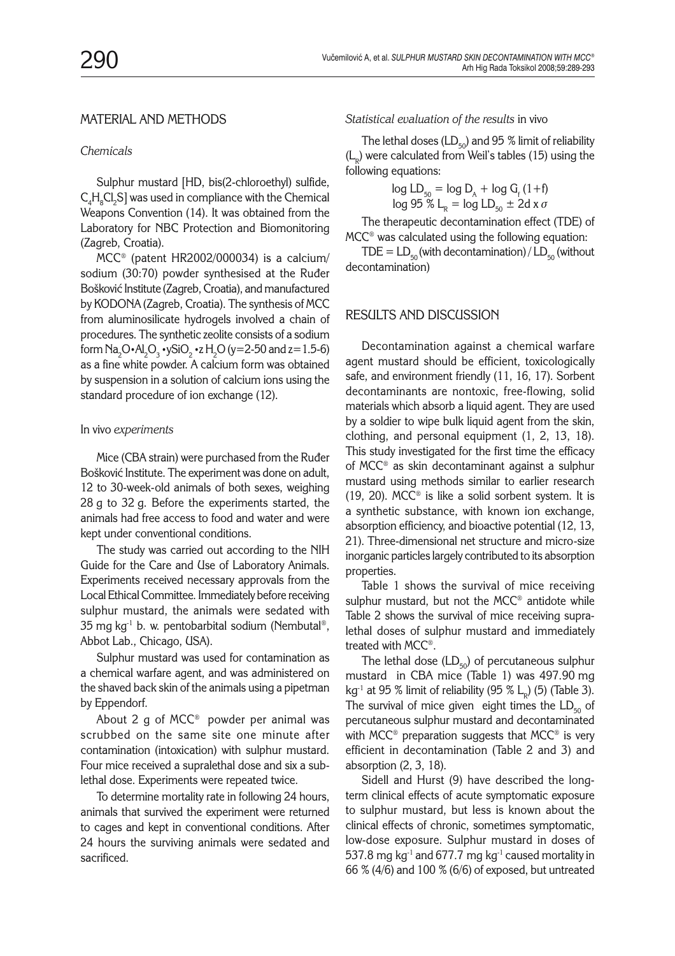# MATERIAL AND METHODS

#### *Chemicals*

Sulphur mustard [HD, bis(2-chloroethyl) sulfide,  $\text{C}_4\text{H}_{\text{s}}\text{Cl}_2\text{S}$ ] was used in compliance with the Chemical Weapons Convention (14). It was obtained from the Laboratory for NBC Protection and Biomonitoring (Zagreb, Croatia).

MCC*®* (patent HR2002/000034) is a calcium/ sodium (30:70) powder synthesised at the Ruder Bošković Institute (Zagreb, Croatia), and manufactured by KODONA (Zagreb, Croatia). The synthesis of MCC from aluminosilicate hydrogels involved a chain of procedures. The synthetic zeolite consists of a sodium form  $\text{Na}_2\text{O}\cdot \text{Al}_2\text{O}_3\cdot$ ySiO $_2$   $\cdot$ z $\text{H}_2\text{O}$  (y=2-50 and z=1.5-6) as a fine white powder. A calcium form was obtained by suspension in a solution of calcium ions using the standard procedure of ion exchange (12).

#### In vivo *experiments*

Mice (CBA strain) were purchased from the Ruder Bošković Institute. The experiment was done on adult, 12 to 30-week-old animals of both sexes, weighing 28 g to 32 g. Before the experiments started, the animals had free access to food and water and were kept under conventional conditions.

The study was carried out according to the NIH Guide for the Care and Use of Laboratory Animals. Experiments received necessary approvals from the Local Ethical Committee. Immediately before receiving sulphur mustard, the animals were sedated with 35 mg kg $^{-1}$  b. w. pentobarbital sodium (Nembutal®, Abbot Lab., Chicago, USA).

Sulphur mustard was used for contamination as a chemical warfare agent, and was administered on the shaved back skin of the animals using a pipetman by Eppendorf*.*

About 2 g of MCC<sup>®</sup> powder per animal was scrubbed on the same site one minute after contamination (intoxication) with sulphur mustard. Four mice received a supralethal dose and six a sublethal dose. Experiments were repeated twice.

To determine mortality rate in following 24 hours, animals that survived the experiment were returned to cages and kept in conventional conditions. After 24 hours the surviving animals were sedated and sacrificed.

*Statistical evaluation of the results* in vivo

The lethal doses (LD $_{50}$ ) and 95 % limit of reliability  $(L<sub>n</sub>)$  were calculated from Weil's tables (15) using the following equations:

$$
\log LD_{50} = \log D_A + \log G_f (1+f)
$$
  

$$
\log 95 \% L_R = \log LD_{50} \pm 2d \times \sigma
$$

The therapeutic decontamination effect (TDE) of MCC*®* was calculated using the following equation:

TDE =  $LD_{50}$  (with decontamination) /  $LD_{50}$  (without decontamination)

### RESULTS AND DISCUSSION

Decontamination against a chemical warfare agent mustard should be efficient, toxicologically safe, and environment friendly (11, 16, 17). Sorbent decontaminants are nontoxic, free-flowing, solid materials which absorb a liquid agent. They are used by a soldier to wipe bulk liquid agent from the skin, clothing, and personal equipment (1, 2, 13, 18). This study investigated for the first time the efficacy of MCC*®* as skin decontaminant against a sulphur mustard using methods similar to earlier research (19, 20). MCC*®* is like a solid sorbent system. It is a synthetic substance, with known ion exchange, absorption efficiency, and bioactive potential (12, 13, 21). Three-dimensional net structure and micro-size inorganic particles largely contributed to its absorption properties.

Table 1 shows the survival of mice receiving sulphur mustard, but not the MCC® antidote while Table 2 shows the survival of mice receiving supralethal doses of sulphur mustard and immediately treated with MCC*®*.

The lethal dose  $(LD_{50})$  of percutaneous sulphur mustard in CBA mice (Table 1) was 497.90 mg kg<sup>-1</sup> at 95 % limit of reliability (95 % L<sub>p</sub>) (5) (Table 3). The survival of mice given eight times the  $LD_{50}$  of percutaneous sulphur mustard and decontaminated with MCC*®* preparation suggests that MCC® is very efficient in decontamination (Table 2 and 3) and absorption (2, 3, 18).

Sidell and Hurst (9) have described the longterm clinical effects of acute symptomatic exposure to sulphur mustard, but less is known about the clinical effects of chronic, sometimes symptomatic, low-dose exposure. Sulphur mustard in doses of 537.8 mg kg<sup>-1</sup> and 677.7 mg kg<sup>-1</sup> caused mortality in 66 % (4/6) and 100 % (6/6) of exposed, but untreated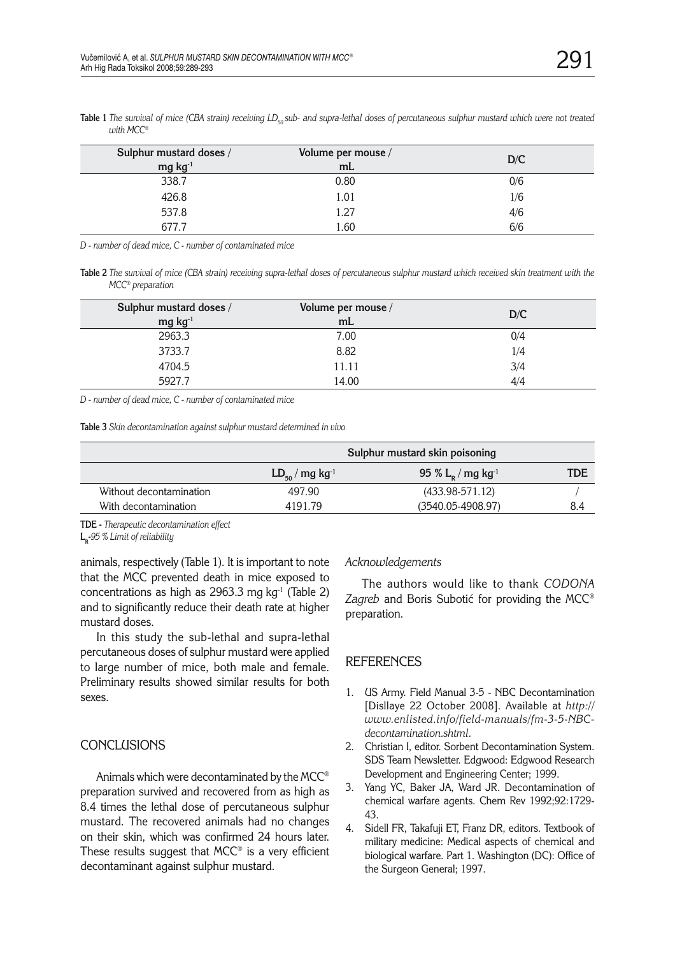| Sulphur mustard doses /<br>$mg kg-1$ | Volume per mouse /<br>mL | D/C |
|--------------------------------------|--------------------------|-----|
| 338.7                                | 0.80                     | 0/6 |
| 426.8                                | 1.01                     | 1/6 |
| 537.8                                | 1.27                     | 4/6 |
| 677 <sup>-</sup>                     | l.60                     | 6/6 |

Table 1 The survival of mice (CBA strain) receiving LD<sub>50</sub> sub- and supra-lethal doses of percutaneous sulphur mustard which were not treated *with MCC®*

*D - number of dead mice, C - number of contaminated mice*

**Table 2** *The survival of mice (CBA strain) receiving supra-lethal doses of percutaneous sulphur mustard which received skin treatment with the MCC® preparation*

| Sulphur mustard doses /<br>$mg kg-1$ | Volume per mouse /<br>mL | D/C |
|--------------------------------------|--------------------------|-----|
| 2963.3                               | 7.00                     | 0/4 |
| 3733.7                               | 8.82                     | 1/4 |
| 4704.5                               | 11.11                    | 3/4 |
| 5927.7                               | 14.00                    | 4/4 |

*D - number of dead mice, C - number of contaminated mice*

**Table 3** *Skin decontamination against sulphur mustard determined in vivo*

|                         | Sulphur mustard skin poisoning  |                                    |            |
|-------------------------|---------------------------------|------------------------------------|------------|
|                         | $LD_{50} / mg$ kg <sup>-1</sup> | 95 % $L_{p}$ / mg kg <sup>-1</sup> | <b>TDE</b> |
| Without decontamination | 497.90                          | $(433.98 - 571.12)$                |            |
| With decontamination    | 4191 79                         | $(3540.05 - 4908.97)$              | 8.4        |
|                         |                                 |                                    |            |

**TDE -** *Therapeutic decontamination effect*

L<sub>R</sub>-95 % Limit of reliability

animals, respectively (Table 1). It is important to note that the MCC prevented death in mice exposed to concentrations as high as 2963.3 mg  $kg<sup>-1</sup>$  (Table 2) and to significantly reduce their death rate at higher mustard doses.

In this study the sub-lethal and supra-lethal percutaneous doses of sulphur mustard were applied to large number of mice, both male and female. Preliminary results showed similar results for both sexes.

## **CONCLUSIONS**

Animals which were decontaminated by the MCC*®* preparation survived and recovered from as high as 8.4 times the lethal dose of percutaneous sulphur mustard. The recovered animals had no changes on their skin, which was confirmed 24 hours later. These results suggest that MCC*®* is a very efficient decontaminant against sulphur mustard.

#### *Acknowledgements*

The authors would like to thank *CODONA Zagreb* and Boris Subotić for providing the MCC<sup>®</sup> preparation.

## REFERENCES

- 1. US Army. Field Manual 3-5 NBC Decontamination [Disllaye 22 October 2008]. Available at *http:// www.enlisted.info/field-manuals/fm-3-5-NBCdecontamination.shtml*.
- 2. Christian I, editor. Sorbent Decontamination System. SDS Team Newsletter. Edgwood: Edgwood Research Development and Engineering Center; 1999.
- 3. Yang YC, Baker JA, Ward JR. Decontamination of chemical warfare agents. Chem Rev 1992;92:1729- 43.
- 4. Sidell FR, Takafuji ET, Franz DR, editors. Textbook of military medicine: Medical aspects of chemical and biological warfare. Part 1. Washington (DC): Office of the Surgeon General; 1997.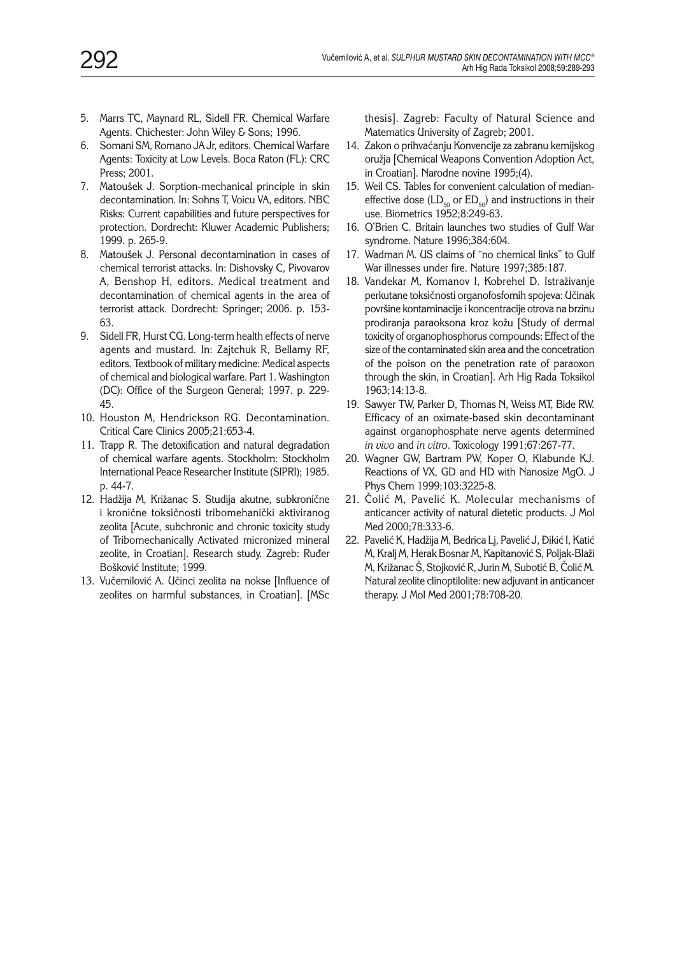- 5. Marrs TC, Maynard RL, Sidell FR. Chemical Warfare Agents. Chichester: John Wiley & Sons; 1996.
- 6. Somani SM, Romano JA Jr, editors. Chemical Warfare Agents: Toxicity at Low Levels. Boca Raton (FL): CRC Press; 2001.
- 7. Matoušek J. Sorption-mechanical principle in skin decontamination. In: Sohns T, Voicu VA, editors. NBC Risks: Current capabilities and future perspectives for protection. Dordrecht: Kluwer Academic Publishers; 1999. p. 265-9.
- 8. Matoušek J. Personal decontamination in cases of chemical terrorist attacks. In: Dishovsky C, Pivovarov A, Benshop H, editors. Medical treatment and decontamination of chemical agents in the area of terrorist attack. Dordrecht: Springer; 2006. p. 153- 63.
- 9. Sidell FR, Hurst CG. Long-term health effects of nerve agents and mustard. In: Zajtchuk R, Bellamy RF, editors. Textbook of military medicine: Medical aspects of chemical and biological warfare. Part 1. Washington (DC): Office of the Surgeon General; 1997. p. 229- 45.
- 10. Houston M, Hendrickson RG. Decontamination. Critical Care Clinics 2005;21:653-4.
- 11. Trapp R. The detoxification and natural degradation of chemical warfare agents. Stockholm: Stockholm International Peace Researcher Institute (SIPRI); 1985. p. 44-7.
- 12. Hadžija M, Križanac S. Studija akutne, subkronične i kronične toksičnosti tribomehanički aktiviranog zeolita [Acute, subchronic and chronic toxicity study of Tribomechanically Activated micronized mineral zeolite, in Croatian]. Research study. Zagreb: Ruđer Bošković Institute: 1999.
- 13. Vučemilović A. Učinci zeolita na nokse [Influence of zeolites on harmful substances, in Croatian]. [MSc

thesis]. Zagreb: Faculty of Natural Science and Matematics University of Zagreb; 2001.

- 14. Zakon o prihvaćanju Konvencije za zabranu kemijskog oružia [Chemical Weapons Convention Adoption Act, in Croatian]. Narodne novine 1995;(4).
- 15. Weil CS. Tables for convenient calculation of medianeffective dose ( $LD_{50}$  or  $ED_{50}$ ) and instructions in their use. Biometrics 1952;8:249-63.
- 16. O'Brien C. Britain launches two studies of Gulf War syndrome. Nature 1996;384:604.
- 17. Wadman M. US claims of "no chemical links" to Gulf War illnesses under fire. Nature 1997;385:187.
- 18. Vandekar M, Komanov I, Kobrehel D. Istraživanje perkutane toksičnosti organofosfornih spojeva: Učinak povr{ine kontaminacije i koncentracije otrova na brzinu prodiranja paraoksona kroz kožu [Study of dermal toxicity of organophosphorus compounds: Effect of the size of the contaminated skin area and the concetration of the poison on the penetration rate of paraoxon through the skin, in Croatian]. Arh Hig Rada Toksikol 1963;14:13-8.
- 19. Sawyer TW, Parker D, Thomas N, Weiss MT, Bide RW. Efficacy of an oximate-based skin decontaminant against organophosphate nerve agents determined *in vivo* and *in vitro*. Toxicology 1991;67:267-77.
- 20. Wagner GW, Bartram PW, Koper O, Klabunde KJ. Reactions of VX, GD and HD with Nanosize MgO. J Phys Chem 1999;103:3225-8.
- 21. Colić M, Pavelić K. Molecular mechanisms of anticancer activity of natural dietetic products. J Mol Med 2000;78:333-6.
- 22. Pavelić K, Hadžija M, Bedrica Lj, Pavelić J, Đikić I, Katić M, Kralj M, Herak Bosnar M, Kapitanović S, Poljak-Blaži M, Križanac Š, Stojković R, Jurin M, Subotić B, Čolić M. Natural zeolite clinoptilolite: new adjuvant in anticancer therapy. J Mol Med 2001;78:708-20.